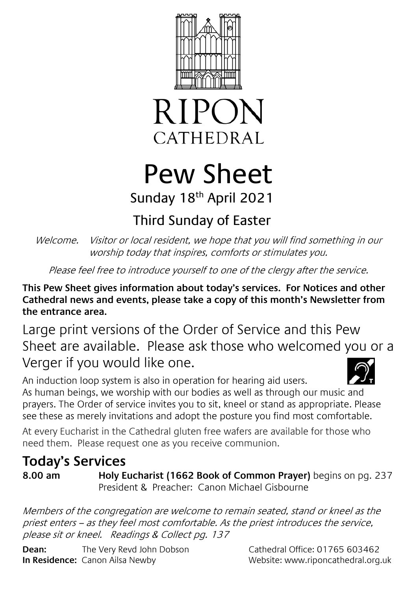



# Pew Sheet Sunday 18<sup>th</sup> April 2021

## Third Sunday of Easter

Welcome. Visitor or local resident, we hope that you will find something in our worship today that inspires, comforts or stimulates you.

Please feel free to introduce yourself to one of the clergy after the service.

**This Pew Sheet gives information about today's services. For Notices and other Cathedral news and events, please take a copy of this month's Newsletter from the entrance area.** 

Large print versions of the Order of Service and this Pew Sheet are available. Please ask those who welcomed you or a Verger if you would like one.

An induction loop system is also in operation for hearing aid users. As human beings, we worship with our bodies as well as through our music and prayers. The Order of service invites you to sit, kneel or stand as appropriate. Please see these as merely invitations and adopt the posture you find most comfortable.

At every Eucharist in the Cathedral gluten free wafers are available for those who need them. Please request one as you receive communion.

## **Today's Services**

**8.00 am Holy Eucharist (1662 Book of Common Prayer)** begins on pg. 237 President & Preacher: Canon Michael Gisbourne

Members of the congregation are welcome to remain seated, stand or kneel as the priest enters – as they feel most comfortable. As the priest introduces the service, please sit or kneel. Readings & Collect pg. 137

**Dean:** The Very Revd John Dobson Cathedral Office: 01765 603462 **In Residence:** Canon Ailsa Newby Website: www.riponcathedral.org.uk